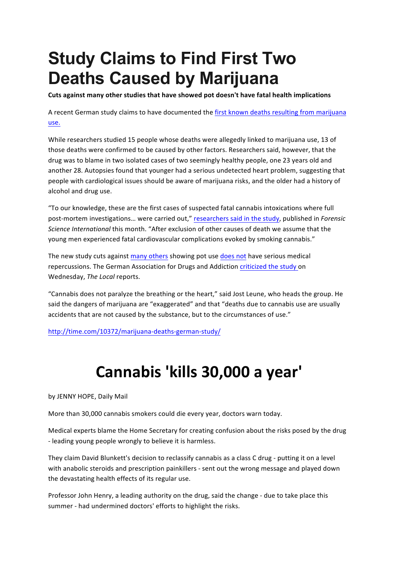## **Study Claims to Find First Two Deaths Caused by Marijuana**

Cuts against many other studies that have showed pot doesn't have fatal health implications

A recent German study claims to have documented the first known deaths resulting from marijuana use.

While researchers studied 15 people whose deaths were allegedly linked to marijuana use, 13 of those deaths were confirmed to be caused by other factors. Researchers said, however, that the drug was to blame in two isolated cases of two seemingly healthy people, one 23 years old and another 28. Autopsies found that younger had a serious undetected heart problem, suggesting that people with cardiological issues should be aware of marijuana risks, and the older had a history of alcohol and drug use.

"To our knowledge, these are the first cases of suspected fatal cannabis intoxications where full post-mortem investigations... were carried out," researchers said in the study, published in *Forensic Science International* this month. "After exclusion of other causes of death we assume that the young men experienced fatal cardiovascular complications evoked by smoking cannabis."

The new study cuts against many others showing pot use does not have serious medical repercussions. The German Association for Drugs and Addiction criticized the study on Wednesday, *The Local* reports.

"Cannabis does not paralyze the breathing or the heart," said Jost Leune, who heads the group. He said the dangers of marijuana are "exaggerated" and that "deaths due to cannabis use are usually accidents that are not caused by the substance, but to the circumstances of use."

http://time.com/10372/marijuana-deaths-german-study/

## **Cannabis 'kills 30,000 a year'**

by JENNY HOPE, Daily Mail

More than 30,000 cannabis smokers could die every year, doctors warn today.

Medical experts blame the Home Secretary for creating confusion about the risks posed by the drug - leading young people wrongly to believe it is harmless.

They claim David Blunkett's decision to reclassify cannabis as a class C drug - putting it on a level with anabolic steroids and prescription painkillers - sent out the wrong message and played down the devastating health effects of its regular use.

Professor John Henry, a leading authority on the drug, said the change - due to take place this summer - had undermined doctors' efforts to highlight the risks.